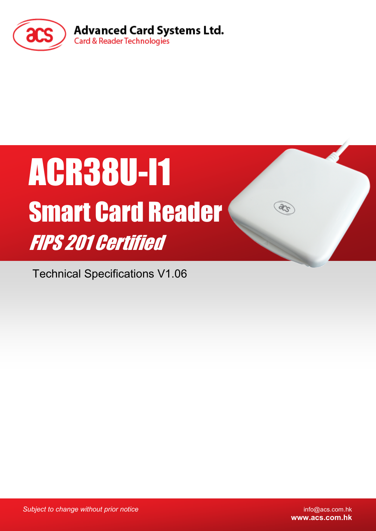

# ACR38U-I1 Smart Card Reader FIPS 201 Certified

Technical Specifications V1.06

*Subject to change without prior notice* info@acs.com.hk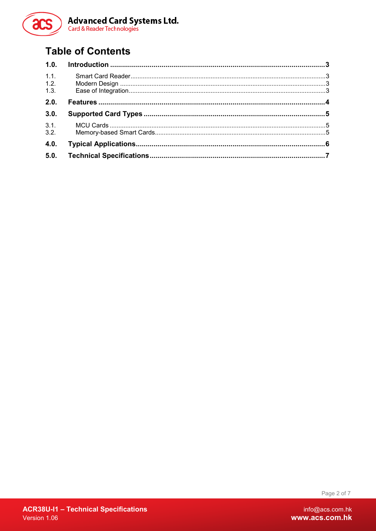

## **Table of Contents**

| 1.1. |  |
|------|--|
| 1.2. |  |
| 1.3. |  |
| 2.0. |  |
| 3.0. |  |
| 3.1. |  |
| 3.2. |  |
| 4.0. |  |
| 5.0. |  |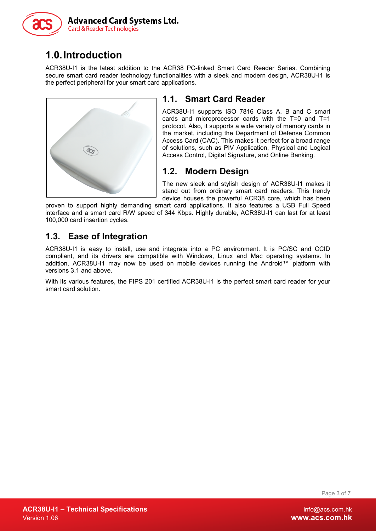

# <span id="page-2-0"></span>**1.0.Introduction**

ACR38U-I1 is the latest addition to the ACR38 PC-linked Smart Card Reader Series. Combining secure smart card reader technology functionalities with a sleek and modern design, ACR38U-I1 is the perfect peripheral for your smart card applications.



## <span id="page-2-1"></span>**1.1. Smart Card Reader**

ACR38U-I1 supports ISO 7816 Class A, B and C smart cards and microprocessor cards with the T=0 and T=1 protocol. Also, it supports a wide variety of memory cards in the market, including the Department of Defense Common Access Card (CAC). This makes it perfect for a broad range of solutions, such as PIV Application, Physical and Logical Access Control, Digital Signature, and Online Banking.

## <span id="page-2-2"></span>**1.2. Modern Design**

The new sleek and stylish design of ACR38U-I1 makes it stand out from ordinary smart card readers. This trendy device houses the powerful ACR38 core, which has been

proven to support highly demanding smart card applications. It also features a USB Full Speed interface and a smart card R/W speed of 344 Kbps. Highly durable, ACR38U-I1 can last for at least 100,000 card insertion cycles.

### <span id="page-2-3"></span>**1.3. Ease of Integration**

ACR38U-I1 is easy to install, use and integrate into a PC environment. It is PC/SC and CCID compliant, and its drivers are compatible with Windows, Linux and Mac operating systems. In addition, ACR38U-I1 may now be used on mobile devices running the Android™ platform with versions 3.1 and above.

With its various features, the FIPS 201 certified ACR38U-I1 is the perfect smart card reader for your smart card solution.

Page 3 of 7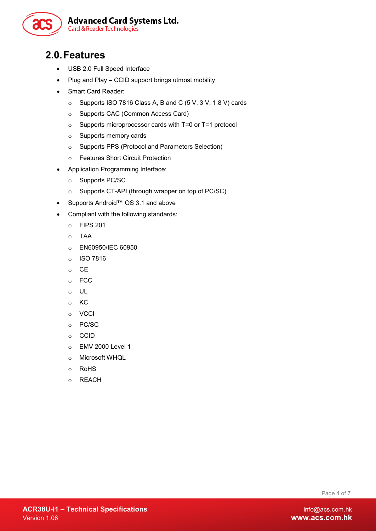

## <span id="page-3-0"></span>**2.0.Features**

- USB 2.0 Full Speed Interface
- Plug and Play CCID support brings utmost mobility
- Smart Card Reader:
	- o Supports ISO 7816 Class A, B and C (5 V, 3 V, 1.8 V) cards
	- o Supports CAC (Common Access Card)
	- o Supports microprocessor cards with T=0 or T=1 protocol
	- o Supports memory cards
	- o Supports PPS (Protocol and Parameters Selection)
	- o Features Short Circuit Protection
- Application Programming Interface:
	- o Supports PC/SC
	- o Supports CT-API (through wrapper on top of PC/SC)
- Supports Android™ OS 3.1 and above
- Compliant with the following standards:
	- o FIPS 201
	- o TAA
	- o EN60950/IEC 60950
	- o ISO 7816
	- o CE
	- o FCC
	- o UL
	- o KC
	- o VCCI
	- o PC/SC
	- o CCID
	- o EMV 2000 Level 1
	- o Microsoft WHQL
	- o RoHS
	- o REACH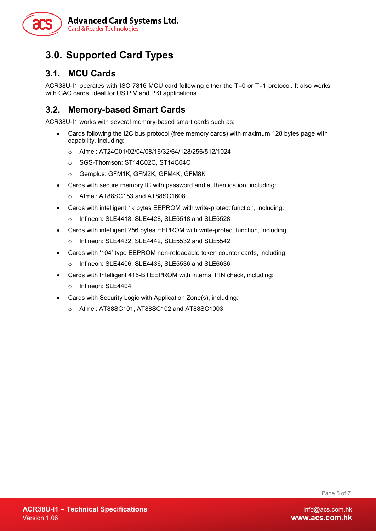

## <span id="page-4-0"></span>**3.0. Supported Card Types**

#### <span id="page-4-1"></span>**3.1. MCU Cards**

ACR38U-I1 operates with ISO 7816 MCU card following either the T=0 or T=1 protocol. It also works with CAC cards, ideal for US PIV and PKI applications.

#### <span id="page-4-2"></span>**3.2. Memory-based Smart Cards**

ACR38U-I1 works with several memory-based smart cards such as:

- Cards following the I2C bus protocol (free memory cards) with maximum 128 bytes page with capability, including:
	- o Atmel: AT24C01/02/04/08/16/32/64/128/256/512/1024
	- o SGS-Thomson: ST14C02C, ST14C04C
	- o Gemplus: GFM1K, GFM2K, GFM4K, GFM8K
- Cards with secure memory IC with password and authentication, including:
	- o Atmel: AT88SC153 and AT88SC1608
- Cards with intelligent 1k bytes EEPROM with write-protect function, including:
	- o Infineon: SLE4418, SLE4428, SLE5518 and SLE5528
- Cards with intelligent 256 bytes EEPROM with write-protect function, including:
	- o Infineon: SLE4432, SLE4442, SLE5532 and SLE5542
- Cards with '104' type EEPROM non-reloadable token counter cards, including:
	- o Infineon: SLE4406, SLE4436, SLE5536 and SLE6636
- Cards with Intelligent 416-Bit EEPROM with internal PIN check, including:
	- o Infineon: SLE4404
- Cards with Security Logic with Application Zone(s), including:
	- o Atmel: AT88SC101, AT88SC102 and AT88SC1003

Page 5 of 7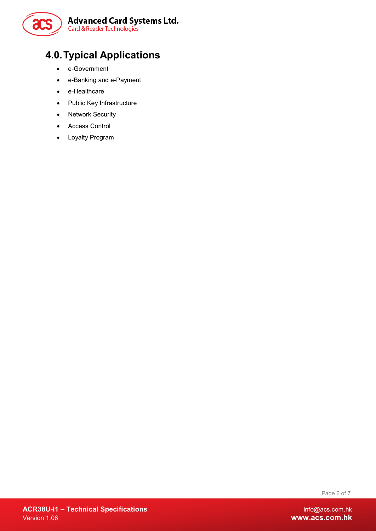

# <span id="page-5-0"></span>**4.0.Typical Applications**

- e-Government
- e-Banking and e-Payment
- e-Healthcare
- Public Key Infrastructure
- Network Security
- Access Control
- Loyalty Program

Page 6 of 7